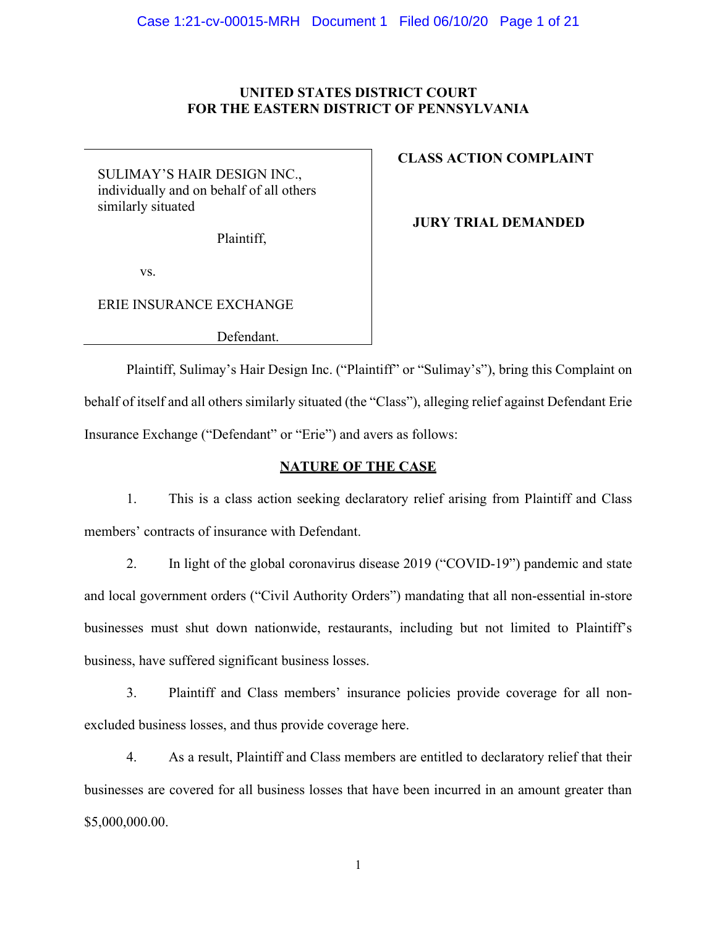### **UNITED STATES DISTRICT COURT FOR THE EASTERN DISTRICT OF PENNSYLVANIA**

SULIMAY'S HAIR DESIGN INC., individually and on behalf of all others similarly situated

Plaintiff,

# **CLASS ACTION COMPLAINT**

 **JURY TRIAL DEMANDED**

vs.

ERIE INSURANCE EXCHANGE

Defendant.

Plaintiff, Sulimay's Hair Design Inc. ("Plaintiff" or "Sulimay's"), bring this Complaint on behalf of itself and all others similarly situated (the "Class"), alleging relief against Defendant Erie Insurance Exchange ("Defendant" or "Erie") and avers as follows:

## **NATURE OF THE CASE**

1. This is a class action seeking declaratory relief arising from Plaintiff and Class members' contracts of insurance with Defendant.

2. In light of the global coronavirus disease 2019 ("COVID-19") pandemic and state and local government orders ("Civil Authority Orders") mandating that all non-essential in-store businesses must shut down nationwide, restaurants, including but not limited to Plaintiff's business, have suffered significant business losses.

3. Plaintiff and Class members' insurance policies provide coverage for all nonexcluded business losses, and thus provide coverage here.

4. As a result, Plaintiff and Class members are entitled to declaratory relief that their businesses are covered for all business losses that have been incurred in an amount greater than \$5,000,000.00.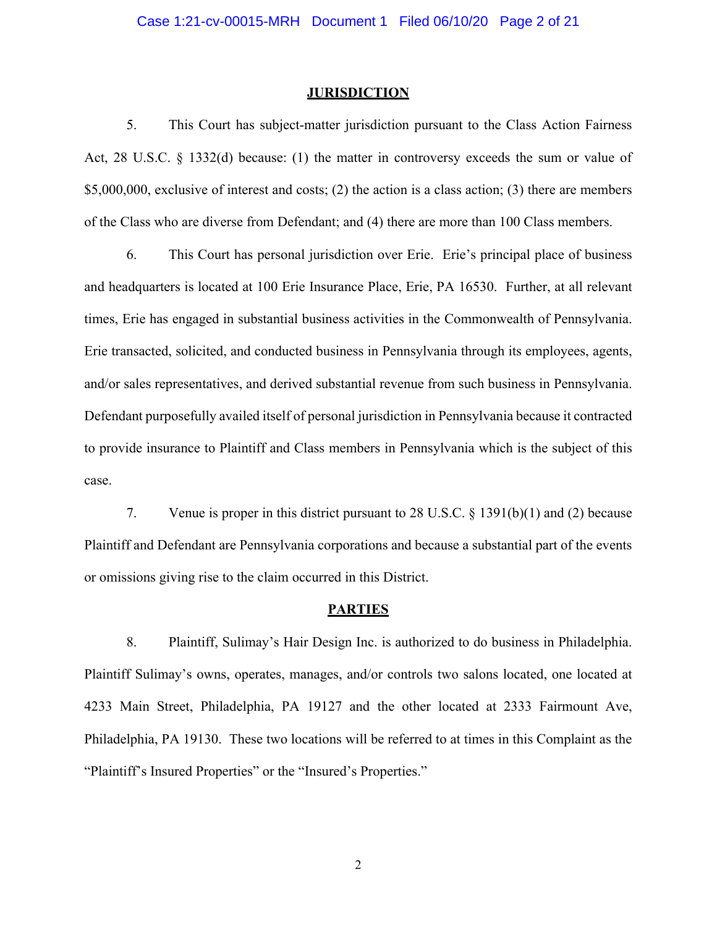#### **JURISDICTION**

5. This Court has subject-matter jurisdiction pursuant to the Class Action Fairness Act, 28 U.S.C. § 1332(d) because: (1) the matter in controversy exceeds the sum or value of \$5,000,000, exclusive of interest and costs; (2) the action is a class action; (3) there are members of the Class who are diverse from Defendant; and (4) there are more than 100 Class members.

6. This Court has personal jurisdiction over Erie. Erie's principal place of business and headquarters is located at 100 Erie Insurance Place, Erie, PA 16530. Further, at all relevant times, Erie has engaged in substantial business activities in the Commonwealth of Pennsylvania. Erie transacted, solicited, and conducted business in Pennsylvania through its employees, agents, and/or sales representatives, and derived substantial revenue from such business in Pennsylvania. Defendant purposefully availed itself of personal jurisdiction in Pennsylvania because it contracted to provide insurance to Plaintiff and Class members in Pennsylvania which is the subject of this case.

7. Venue is proper in this district pursuant to 28 U.S.C. § 1391(b)(1) and (2) because Plaintiff and Defendant are Pennsylvania corporations and because a substantial part of the events or omissions giving rise to the claim occurred in this District.

#### **PARTIES**

8. Plaintiff, Sulimay's Hair Design Inc. is authorized to do business in Philadelphia. Plaintiff Sulimay's owns, operates, manages, and/or controls two salons located, one located at 4233 Main Street, Philadelphia, PA 19127 and the other located at 2333 Fairmount Ave, Philadelphia, PA 19130. These two locations will be referred to at times in this Complaint as the "Plaintiff's Insured Properties" or the "Insured's Properties."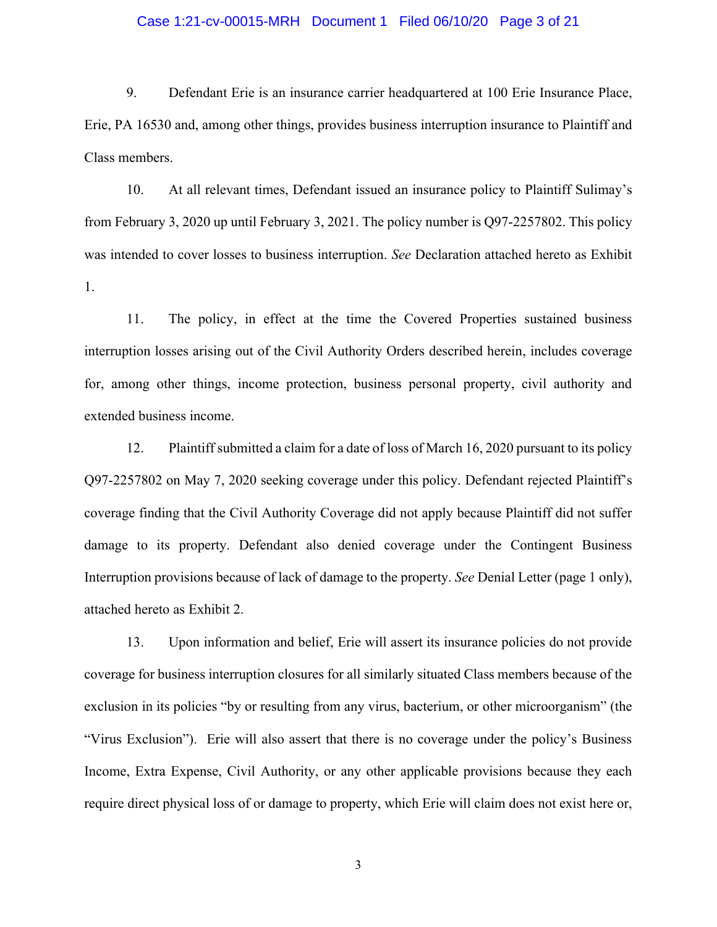#### Case 1:21-cv-00015-MRH Document 1 Filed 06/10/20 Page 3 of 21

9. Defendant Erie is an insurance carrier headquartered at 100 Erie Insurance Place, Erie, PA 16530 and, among other things, provides business interruption insurance to Plaintiff and Class members.

10. At all relevant times, Defendant issued an insurance policy to Plaintiff Sulimay's from February 3, 2020 up until February 3, 2021. The policy number is Q97-2257802. This policy was intended to cover losses to business interruption. *See* Declaration attached hereto as Exhibit 1.

11. The policy, in effect at the time the Covered Properties sustained business interruption losses arising out of the Civil Authority Orders described herein, includes coverage for, among other things, income protection, business personal property, civil authority and extended business income.

12. Plaintiff submitted a claim for a date of loss of March 16, 2020 pursuant to its policy Q97-2257802 on May 7, 2020 seeking coverage under this policy. Defendant rejected Plaintiff's coverage finding that the Civil Authority Coverage did not apply because Plaintiff did not suffer damage to its property. Defendant also denied coverage under the Contingent Business Interruption provisions because of lack of damage to the property. *See* Denial Letter (page 1 only), attached hereto as Exhibit 2.

13. Upon information and belief, Erie will assert its insurance policies do not provide coverage for business interruption closures for all similarly situated Class members because of the exclusion in its policies "by or resulting from any virus, bacterium, or other microorganism" (the "Virus Exclusion"). Erie will also assert that there is no coverage under the policy's Business Income, Extra Expense, Civil Authority, or any other applicable provisions because they each require direct physical loss of or damage to property, which Erie will claim does not exist here or,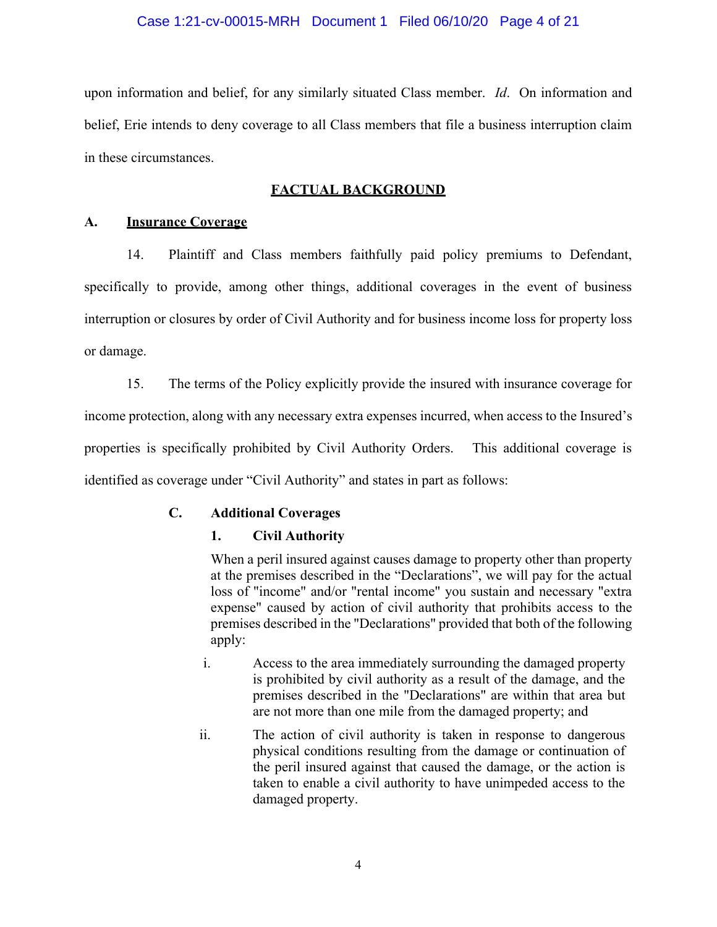#### Case 1:21-cv-00015-MRH Document 1 Filed 06/10/20 Page 4 of 21

upon information and belief, for any similarly situated Class member. *Id*. On information and belief, Erie intends to deny coverage to all Class members that file a business interruption claim in these circumstances.

## **FACTUAL BACKGROUND**

#### **A. Insurance Coverage**

14. Plaintiff and Class members faithfully paid policy premiums to Defendant, specifically to provide, among other things, additional coverages in the event of business interruption or closures by order of Civil Authority and for business income loss for property loss or damage.

15. The terms of the Policy explicitly provide the insured with insurance coverage for income protection, along with any necessary extra expenses incurred, when access to the Insured's properties is specifically prohibited by Civil Authority Orders. This additional coverage is identified as coverage under "Civil Authority" and states in part as follows:

### **C. Additional Coverages**

### **1. Civil Authority**

When a peril insured against causes damage to property other than property at the premises described in the "Declarations", we will pay for the actual loss of "income" and/or "rental income" you sustain and necessary "extra expense" caused by action of civil authority that prohibits access to the premises described in the "Declarations" provided that both of the following apply:

- i. Access to the area immediately surrounding the damaged property is prohibited by civil authority as a result of the damage, and the premises described in the "Declarations" are within that area but are not more than one mile from the damaged property; and
- ii. The action of civil authority is taken in response to dangerous physical conditions resulting from the damage or continuation of the peril insured against that caused the damage, or the action is taken to enable a civil authority to have unimpeded access to the damaged property.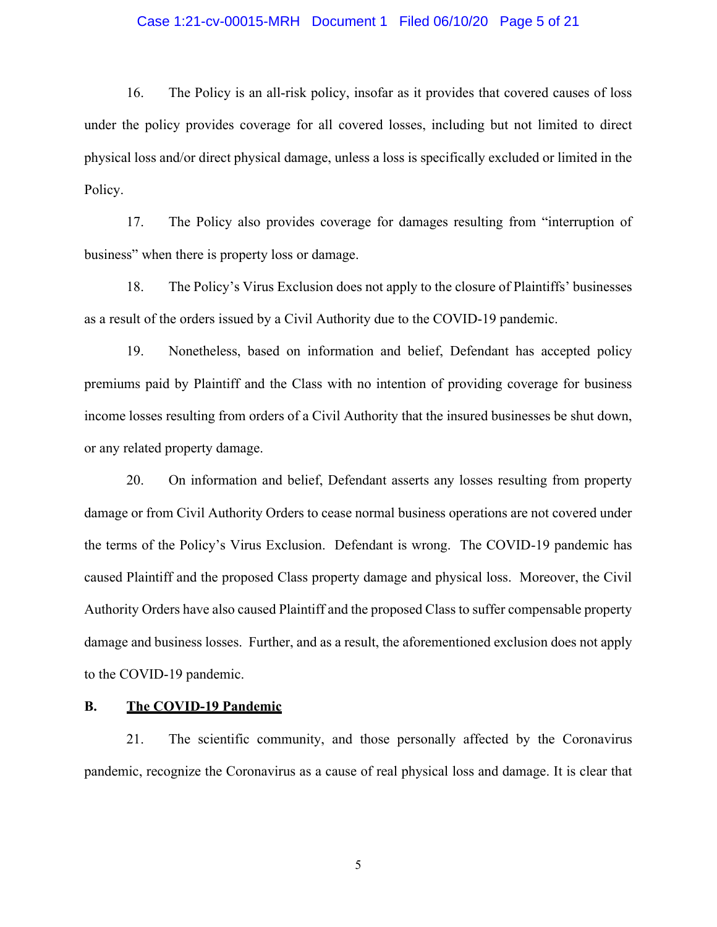#### Case 1:21-cv-00015-MRH Document 1 Filed 06/10/20 Page 5 of 21

16. The Policy is an all-risk policy, insofar as it provides that covered causes of loss under the policy provides coverage for all covered losses, including but not limited to direct physical loss and/or direct physical damage, unless a loss is specifically excluded or limited in the Policy.

17. The Policy also provides coverage for damages resulting from "interruption of business" when there is property loss or damage.

18. The Policy's Virus Exclusion does not apply to the closure of Plaintiffs' businesses as a result of the orders issued by a Civil Authority due to the COVID-19 pandemic.

19. Nonetheless, based on information and belief, Defendant has accepted policy premiums paid by Plaintiff and the Class with no intention of providing coverage for business income losses resulting from orders of a Civil Authority that the insured businesses be shut down, or any related property damage.

20. On information and belief, Defendant asserts any losses resulting from property damage or from Civil Authority Orders to cease normal business operations are not covered under the terms of the Policy's Virus Exclusion. Defendant is wrong. The COVID-19 pandemic has caused Plaintiff and the proposed Class property damage and physical loss. Moreover, the Civil Authority Orders have also caused Plaintiff and the proposed Class to suffer compensable property damage and business losses. Further, and as a result, the aforementioned exclusion does not apply to the COVID-19 pandemic.

#### **B. The COVID-19 Pandemic**

21. The scientific community, and those personally affected by the Coronavirus pandemic, recognize the Coronavirus as a cause of real physical loss and damage. It is clear that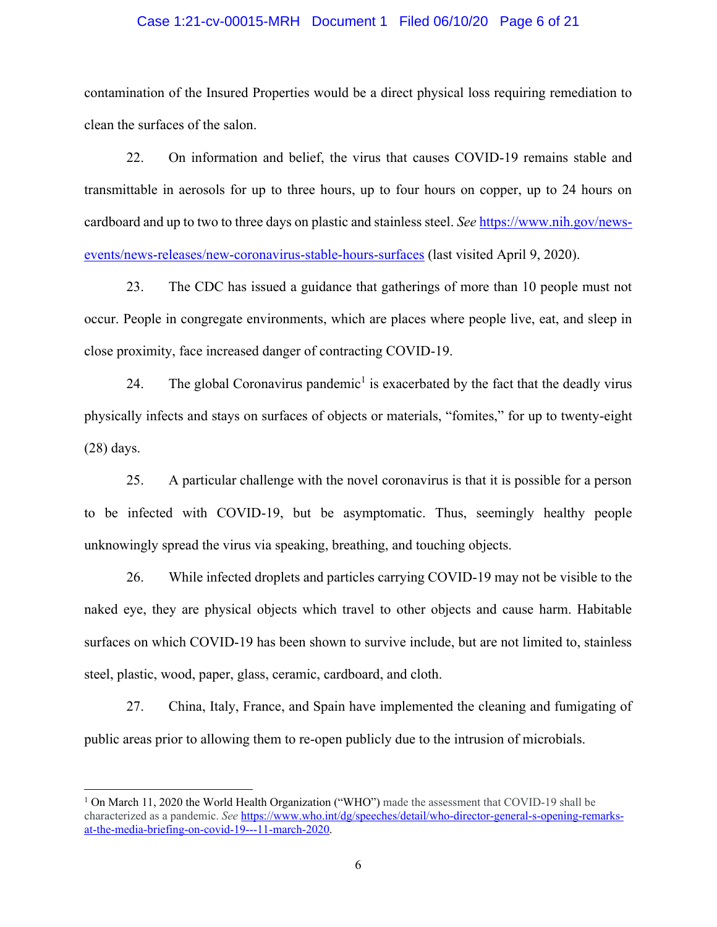#### Case 1:21-cv-00015-MRH Document 1 Filed 06/10/20 Page 6 of 21

contamination of the Insured Properties would be a direct physical loss requiring remediation to clean the surfaces of the salon.

22. On information and belief, the virus that causes COVID-19 remains stable and transmittable in aerosols for up to three hours, up to four hours on copper, up to 24 hours on cardboard and up to two to three days on plastic and stainless steel. *See* [https://www.nih.gov/news](https://www.nih.gov/news-events/news-releases/new-)[events/news-releases/new-](https://www.nih.gov/news-events/news-releases/new-)[coronavirus-stable-hours-surfaces](https://www.nih.gov/news-events/news-releases/new-coronavirus-stable-hours-surfaces) (last visited April 9, 2020).

23. The CDC has issued a guidance that gatherings of more than 10 people must not occur. People in congregate environments, which are places where people live, eat, and sleep in close proximity, face increased danger of contracting COVID-19.

24. The global Coronavirus pandemic<sup>1</sup> is exacerbated by the fact that the deadly virus physically infects and stays on surfaces of objects or materials, "fomites," for up to twenty-eight (28) days.

25. A particular challenge with the novel coronavirus is that it is possible for a person to be infected with COVID-19, but be asymptomatic. Thus, seemingly healthy people unknowingly spread the virus via speaking, breathing, and touching objects.

26. While infected droplets and particles carrying COVID-19 may not be visible to the naked eye, they are physical objects which travel to other objects and cause harm. Habitable surfaces on which COVID-19 has been shown to survive include, but are not limited to, stainless steel, plastic, wood, paper, glass, ceramic, cardboard, and cloth.

27. China, Italy, France, and Spain have implemented the cleaning and fumigating of public areas prior to allowing them to re-open publicly due to the intrusion of microbials.

<sup>&</sup>lt;sup>1</sup> On March 11, 2020 the World Health Organization ("WHO") made the assessment that COVID-19 shall be characterized as a pandemic. *See* [https://www.who.int/dg/speeches/detail/who-director-general-s-opening-remarks](https://www.who.int/dg/speeches/detail/who-director-general-s-opening-remarks-at-the-media-briefing-on-covid-19---11-march-2020)[at-the-media-briefing-on-covid-19---11-march-2020.](https://www.who.int/dg/speeches/detail/who-director-general-s-opening-remarks-at-the-media-briefing-on-covid-19---11-march-2020)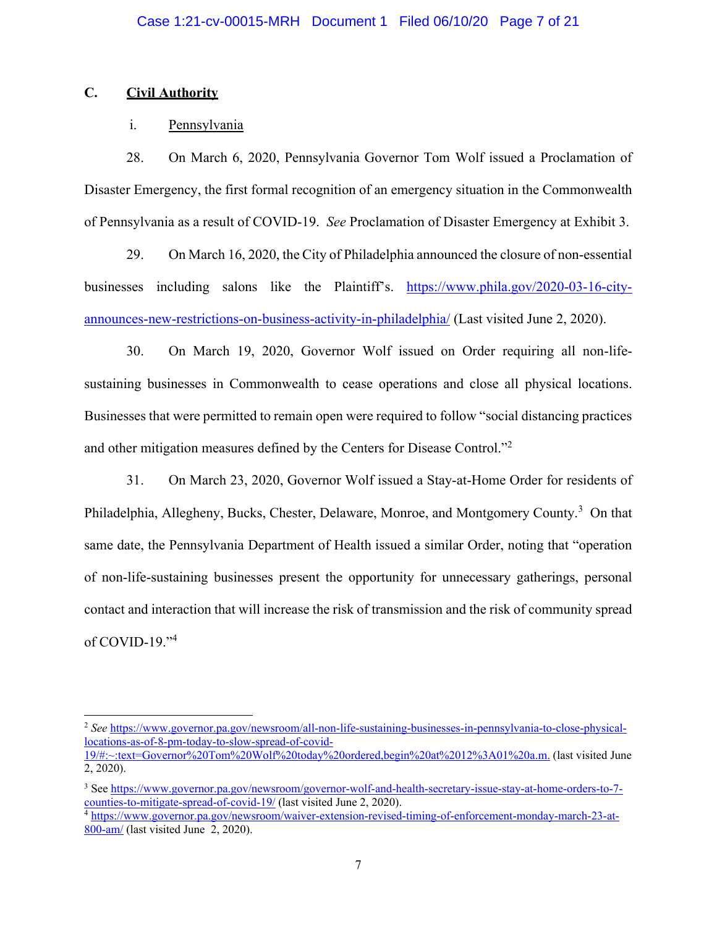## **C. Civil Authority**

## i. Pennsylvania

28. On March 6, 2020, Pennsylvania Governor Tom Wolf issued a Proclamation of Disaster Emergency, the first formal recognition of an emergency situation in the Commonwealth of Pennsylvania as a result of COVID-19. *See* Proclamation of Disaster Emergency at Exhibit 3.

29. On March 16, 2020, the City of Philadelphia announced the closure of non-essential businesses including salons like the Plaintiff's.  $\frac{https://www.phila.gov/2020-03-16-city-}{https://www.phila.gov/2020-03-16-city-}$ [announces-new-restrictions-on-business-activity-in-philadelphia/](https://www.phila.gov/2020-03-16-city-announces-new-restrictions-on-business-activity-in-philadelphia/) (Last visited June 2, 2020).

30. On March 19, 2020, Governor Wolf issued on Order requiring all non-lifesustaining businesses in Commonwealth to cease operations and close all physical locations. Businesses that were permitted to remain open were required to follow "social distancing practices and other mitigation measures defined by the Centers for Disease Control."<sup>2</sup>

31. On March 23, 2020, Governor Wolf issued a Stay-at-Home Order for residents of Philadelphia, Allegheny, Bucks, Chester, Delaware, Monroe, and Montgomery County.<sup>3</sup> On that same date, the Pennsylvania Department of Health issued a similar Order, noting that "operation of non-life-sustaining businesses present the opportunity for unnecessary gatherings, personal contact and interaction that will increase the risk of transmission and the risk of community spread of COVID-19."<sup>4</sup>

<sup>2</sup> *See* [https://www.governor.pa.gov/newsroom/all-non-life-sustaining-businesses-in-pennsylvania-to-close-physical](https://www.governor.pa.gov/newsroom/all-non-life-sustaining-businesses-in-pennsylvania-to-close-physical-locations-as-of-8-pm-today-to-slow-spread-of-covid-19/%23:~:text=Governor%20Tom%20Wolf%20today%20ordered,begin%20at%2012:01%20a.m.)[locations-as-of-8-pm-today-to-slow-spread-of-covid-](https://www.governor.pa.gov/newsroom/all-non-life-sustaining-businesses-in-pennsylvania-to-close-physical-locations-as-of-8-pm-today-to-slow-spread-of-covid-19/%23:~:text=Governor%20Tom%20Wolf%20today%20ordered,begin%20at%2012:01%20a.m.)

[<sup>19/#:~:</sup>text=Governor%20Tom%20Wolf%20today%20ordered,begin%20at%2012%3A01%20a.m.](https://www.governor.pa.gov/newsroom/all-non-life-sustaining-businesses-in-pennsylvania-to-close-physical-locations-as-of-8-pm-today-to-slow-spread-of-covid-19/%23:~:text=Governor%20Tom%20Wolf%20today%20ordered,begin%20at%2012:01%20a.m.) (last visited June 2, 2020).

<sup>3</sup> Se[e https://www.governor.pa.gov/newsroom/governor-wolf-and-health-secretary-issue-stay-at-home-orders-to-7](https://www.governor.pa.gov/newsroom/governor-wolf-and-health-secretary-issue-stay-at-home-orders-to-7-counties-to-mitigate-spread-of-covid-19/) counties-to-mitigate-spread-of-covid-19/ [\(](https://www.governor.pa.gov/newsroom/governor-wolf-and-health-secretary-issue-stay-at-home-orders-to-7-counties-to-mitigate-spread-of-covid-19/)last visited June 2, 2020). 4 [https://www.governor.pa.gov/newsroom/waiver-extension-revised-timing-of-enforcement-monday-march-23-at-](https://www.governor.pa.gov/newsroom/waiver-extension-revised-timing-of-enforcement-monday-march-23-at-800-am/)

[<sup>800-</sup>am/](https://www.governor.pa.gov/newsroom/waiver-extension-revised-timing-of-enforcement-monday-march-23-at-800-am/) (last visited June 2, 2020).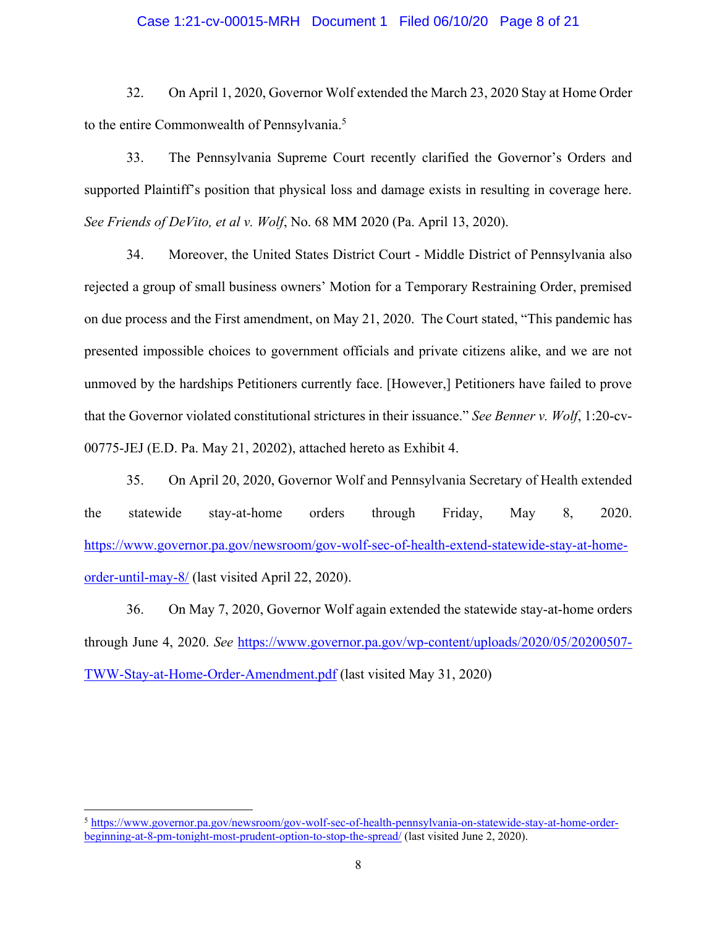#### Case 1:21-cv-00015-MRH Document 1 Filed 06/10/20 Page 8 of 21

32. On April 1, 2020, Governor Wolf extended the March 23, 2020 Stay at Home Order to the entire Commonwealth of Pennsylvania.<sup>5</sup>

33. The Pennsylvania Supreme Court recently clarified the Governor's Orders and supported Plaintiff's position that physical loss and damage exists in resulting in coverage here. *See Friends of DeVito, et al v. Wolf*, No. 68 MM 2020 (Pa. April 13, 2020).

34. Moreover, the United States District Court - Middle District of Pennsylvania also rejected a group of small business owners' Motion for a Temporary Restraining Order, premised on due process and the First amendment, on May 21, 2020. The Court stated, "This pandemic has presented impossible choices to government officials and private citizens alike, and we are not unmoved by the hardships Petitioners currently face. [However,] Petitioners have failed to prove that the Governor violated constitutional strictures in their issuance." *See Benner v. Wolf*, 1:20-cv-00775-JEJ (E.D. Pa. May 21, 20202), attached hereto as Exhibit 4.

35. On April 20, 2020, Governor Wolf and Pennsylvania Secretary of Health extended the statewide stay-at-home orders through Friday, May 8, 2020. [https://www.governor.pa.gov/newsroom/gov-wolf-sec-of-health-extend-statewide-stay-at-home](https://www.governor.pa.gov/newsroom/gov-wolf-sec-of-health-extend-statewide-stay-at-home-order-until-may-8/)[order-until-may-8/](https://www.governor.pa.gov/newsroom/gov-wolf-sec-of-health-extend-statewide-stay-at-home-order-until-may-8/) (last visited April 22, 2020).

36. On May 7, 2020, Governor Wolf again extended the statewide stay-at-home orders through June 4, 2020. *See* [https://www.governor.pa.gov/wp-content/uploads/2020/05/20200507-](https://www.governor.pa.gov/wp-content/uploads/2020/05/20200507-TWW-Stay-at-Home-Order-Amendment.pdf) [TWW-Stay-at-Home-Order-Amendment.pdf](https://www.governor.pa.gov/wp-content/uploads/2020/05/20200507-TWW-Stay-at-Home-Order-Amendment.pdf) (last visited May 31, 2020)

<sup>5</sup> [https://www.governor.pa.gov/newsroom/gov-wolf-sec-of-health-pennsylvania-on-statewide-stay-at-home-order](https://www.governor.pa.gov/newsroom/gov-wolf-sec-of-health-pennsylvania-on-statewide-stay-at-home-order-beginning-at-8-pm-tonight-most-prudent-option-to-stop-the-spread/)[beginning-at-8-pm-tonight-most-prudent-option-to-stop-the-spread/](https://www.governor.pa.gov/newsroom/gov-wolf-sec-of-health-pennsylvania-on-statewide-stay-at-home-order-beginning-at-8-pm-tonight-most-prudent-option-to-stop-the-spread/) (last visited June 2, 2020).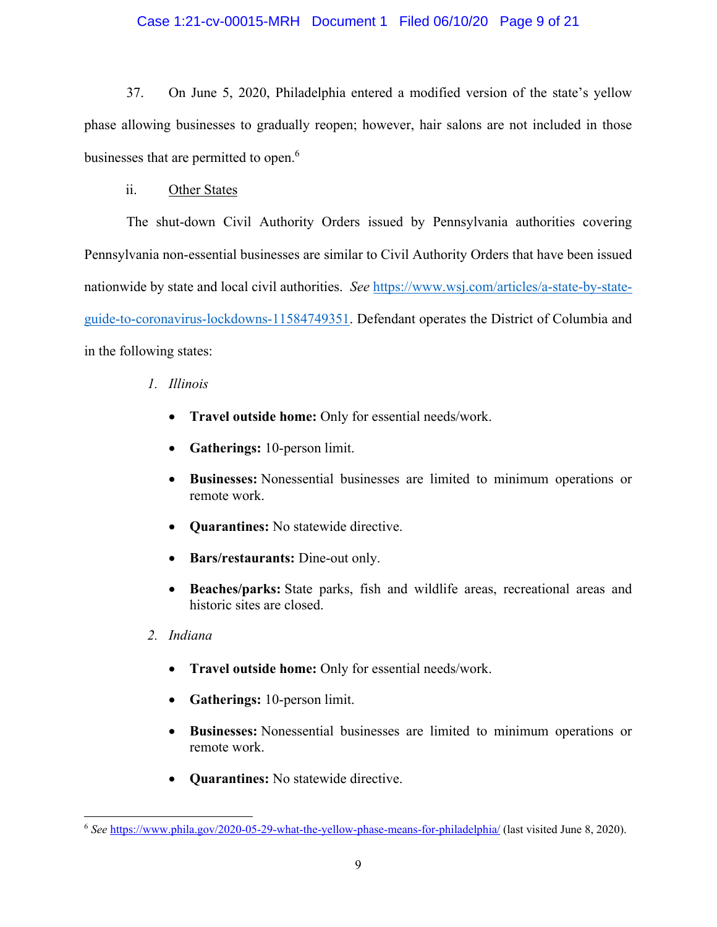### Case 1:21-cv-00015-MRH Document 1 Filed 06/10/20 Page 9 of 21

37. On June 5, 2020, Philadelphia entered a modified version of the state's yellow phase allowing businesses to gradually reopen; however, hair salons are not included in those businesses that are permitted to open.<sup>6</sup>

ii. Other States

The shut-down Civil Authority Orders issued by Pennsylvania authorities covering Pennsylvania non-essential businesses are similar to Civil Authority Orders that have been issued nationwide by state and local civil authorities. *See* [https://www.wsj.com/articles/a-state-by-state](https://www.wsj.com/articles/a-state-by-state-guide-to-coronavirus-lockdowns-11584749351)[guide-to-coronavirus-lockdowns-11584749351.](https://www.wsj.com/articles/a-state-by-state-guide-to-coronavirus-lockdowns-11584749351) Defendant operates the District of Columbia and in the following states:

## *1. Illinois*

- x **Travel outside home:** Only for essential needs/work.
- **Gatherings:** 10-person limit.
- x **Businesses:** Nonessential businesses are limited to minimum operations or remote work.
- **• Quarantines:** No statewide directive.
- **Bars/restaurants:** Dine-out only.
- x **Beaches/parks:** State parks, fish and wildlife areas, recreational areas and historic sites are closed.
- *2. Indiana*
	- x **Travel outside home:** Only for essential needs/work.
	- **Gatherings:** 10-person limit.
	- x **Businesses:** Nonessential businesses are limited to minimum operations or remote work.
	- **Quarantines:** No statewide directive.

<sup>6</sup> *See* <https://www.phila.gov/2020-05-29-what-the-yellow-phase-means-for-philadelphia/> (last visited June 8, 2020).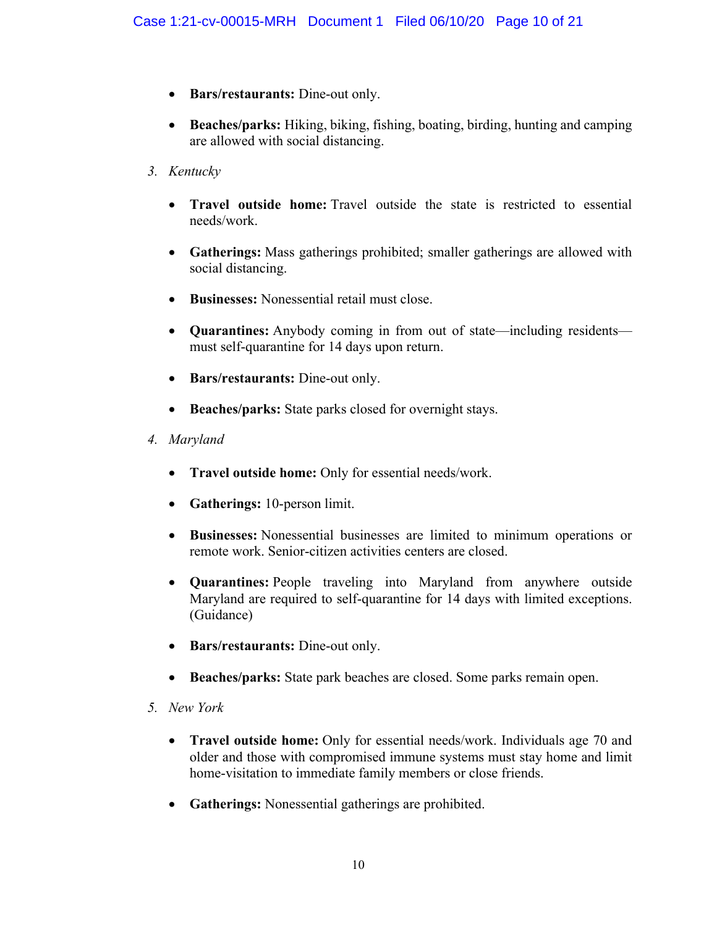- **Bars/restaurants:** Dine-out only.
- x **Beaches/parks:** Hiking, biking, fishing, boating, birding, hunting and camping are allowed with social distancing.
- *3. Kentucky*
	- x **Travel outside home:** Travel outside the state is restricted to essential needs/work.
	- Gatherings: Mass gatherings prohibited; smaller gatherings are allowed with social distancing.
	- **Businesses:** Nonessential retail must close.
	- **Quarantines:** Anybody coming in from out of state—including residents must self-quarantine for 14 days upon return.
	- **Bars/restaurants:** Dine-out only.
	- Beaches/parks: State parks closed for overnight stays.
- *4. Maryland*
	- x **Travel outside home:** Only for essential needs/work.
	- **Gatherings:** 10-person limit.
	- x **Businesses:** Nonessential businesses are limited to minimum operations or remote work. Senior-citizen activities centers are closed.
	- x **Quarantines:** People traveling into Maryland from anywhere outside Maryland are required to self-quarantine for 14 days with limited exceptions. (Guidance)
	- **Bars/restaurants:** Dine-out only.
	- x **Beaches/parks:** State park beaches are closed. Some parks remain open.
- *5. New York*
	- x **Travel outside home:** Only for essential needs/work. Individuals age 70 and older and those with compromised immune systems must stay home and limit home-visitation to immediate family members or close friends.
	- **Gatherings:** Nonessential gatherings are prohibited.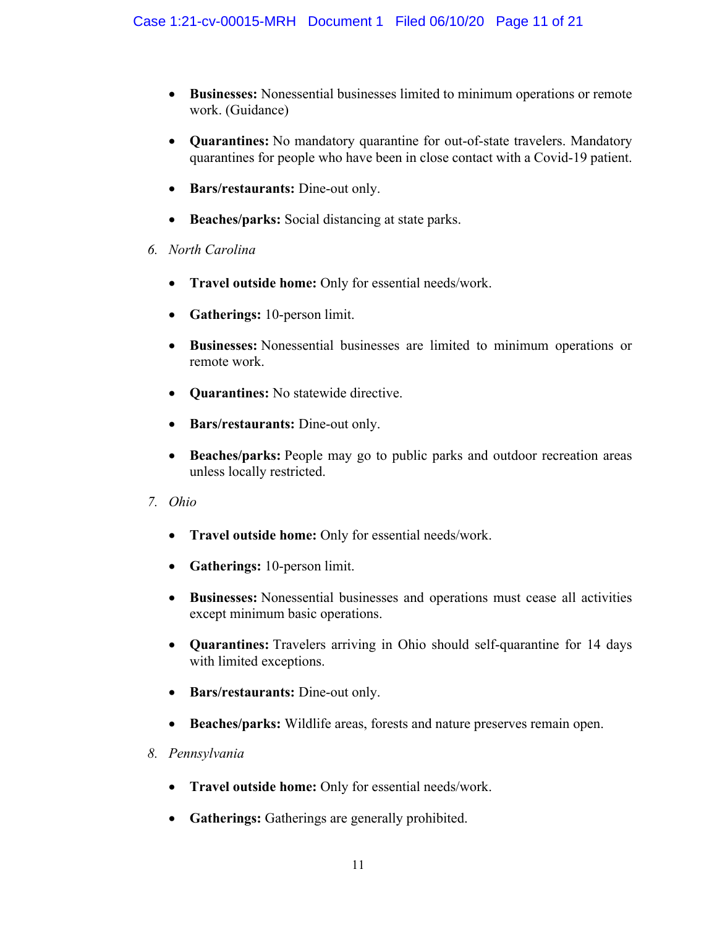- x **Businesses:** Nonessential businesses limited to minimum operations or remote work. (Guidance)
- **Quarantines:** No mandatory quarantine for out-of-state travelers. Mandatory quarantines for people who have been in close contact with a Covid-19 patient.
- **Bars/restaurants:** Dine-out only.
- **Beaches/parks:** Social distancing at state parks.
- *6. North Carolina*
	- x **Travel outside home:** Only for essential needs/work.
	- **Gatherings:** 10-person limit.
	- x **Businesses:** Nonessential businesses are limited to minimum operations or remote work.
	- **Quarantines:** No statewide directive.
	- **Bars/restaurants:** Dine-out only.
	- **Beaches/parks:** People may go to public parks and outdoor recreation areas unless locally restricted.
- *7. Ohio*
	- x **Travel outside home:** Only for essential needs/work.
	- **Gatherings:** 10-person limit.
	- x **Businesses:** Nonessential businesses and operations must cease all activities except minimum basic operations.
	- x **Quarantines:** Travelers arriving in Ohio should self-quarantine for 14 days with limited exceptions.
	- **•** Bars/restaurants: Dine-out only.
	- x **Beaches/parks:** Wildlife areas, forests and nature preserves remain open.
- *8. Pennsylvania*
	- x **Travel outside home:** Only for essential needs/work.
	- **Gatherings:** Gatherings are generally prohibited.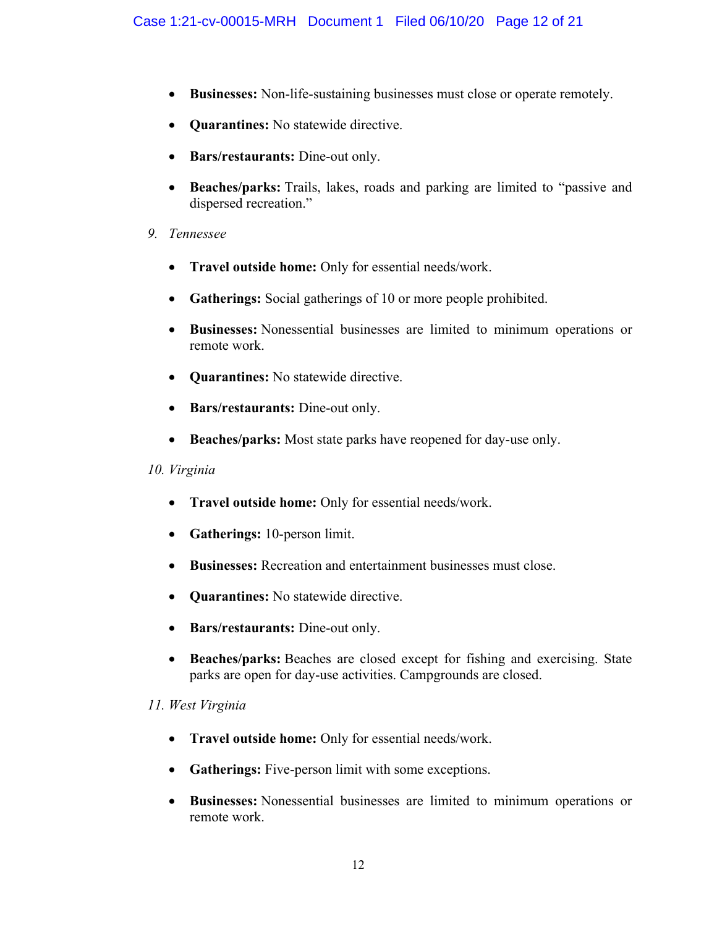- Businesses: Non-life-sustaining businesses must close or operate remotely.
- **Quarantines:** No statewide directive.
- **Bars/restaurants:** Dine-out only.
- x **Beaches/parks:** Trails, lakes, roads and parking are limited to "passive and dispersed recreation."
- *9. Tennessee*
	- x **Travel outside home:** Only for essential needs/work.
	- **Gatherings:** Social gatherings of 10 or more people prohibited.
	- x **Businesses:** Nonessential businesses are limited to minimum operations or remote work.
	- **Quarantines:** No statewide directive.
	- **Bars/restaurants:** Dine-out only.
	- Beaches/parks: Most state parks have reopened for day-use only.

### *10. Virginia*

- x **Travel outside home:** Only for essential needs/work.
- **Gatherings:** 10-person limit.
- x **Businesses:** Recreation and entertainment businesses must close.
- **Quarantines:** No statewide directive.
- **Bars/restaurants:** Dine-out only.
- **Beaches/parks:** Beaches are closed except for fishing and exercising. State parks are open for day-use activities. Campgrounds are closed.

### *11. West Virginia*

- x **Travel outside home:** Only for essential needs/work.
- **Gatherings:** Five-person limit with some exceptions.
- x **Businesses:** Nonessential businesses are limited to minimum operations or remote work.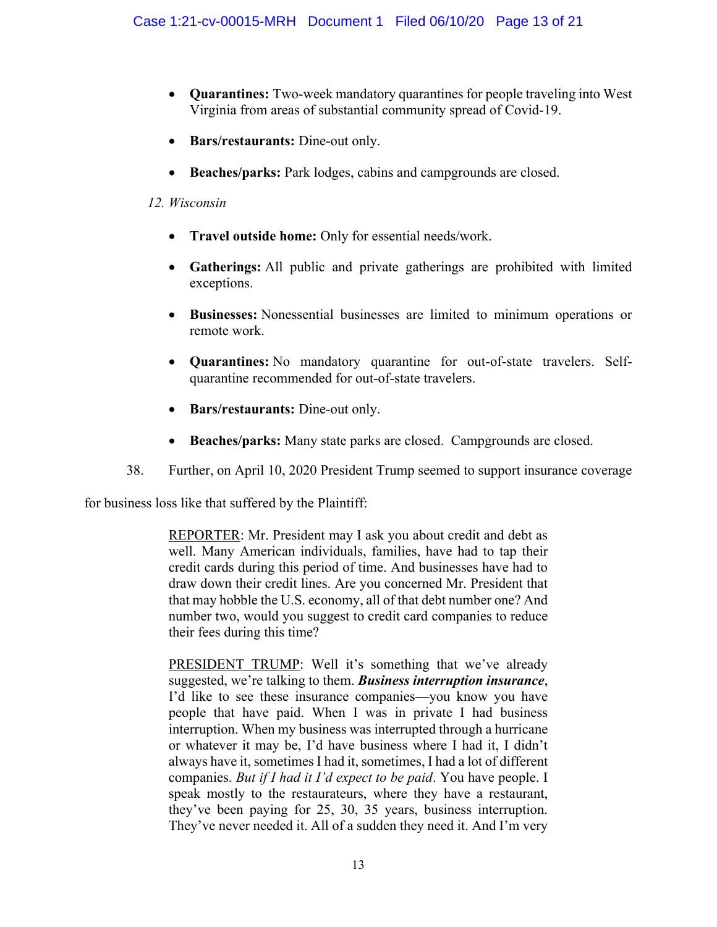- x **Quarantines:** Two-week mandatory quarantines for people traveling into West Virginia from areas of substantial community spread of Covid-19.
- **Bars/restaurants:** Dine-out only.
- Beaches/parks: Park lodges, cabins and campgrounds are closed.

## *12. Wisconsin*

- x **Travel outside home:** Only for essential needs/work.
- x **Gatherings:** All public and private gatherings are prohibited with limited exceptions.
- x **Businesses:** Nonessential businesses are limited to minimum operations or remote work.
- x **Quarantines:** No mandatory quarantine for out-of-state travelers. Selfquarantine recommended for out-of-state travelers.
- **Bars/restaurants:** Dine-out only.
- **Beaches/parks:** Many state parks are closed. Campgrounds are closed.
- 38. Further, on April 10, 2020 President Trump seemed to support insurance coverage

for business loss like that suffered by the Plaintiff:

REPORTER: Mr. President may I ask you about credit and debt as well. Many American individuals, families, have had to tap their credit cards during this period of time. And businesses have had to draw down their credit lines. Are you concerned Mr. President that that may hobble the U.S. economy, all of that debt number one? And number two, would you suggest to credit card companies to reduce their fees during this time?

PRESIDENT TRUMP: Well it's something that we've already suggested, we're talking to them. Business interruption insurance, I'd like to see these insurance companies—you know you have people that have paid. When I was in private I had business interruption. When my business was interrupted through a hurricane or whatever it may be, I'd have business where I had it, I didn't always have it, sometimes I had it, sometimes, I had a lot of different companies. *But if I had it I'd expect to be paid*. You have people. I speak mostly to the restaurateurs, where they have a restaurant, they've been paying for 25, 30, 35 years, business interruption. They've never needed it. All of a sudden they need it. And I'm very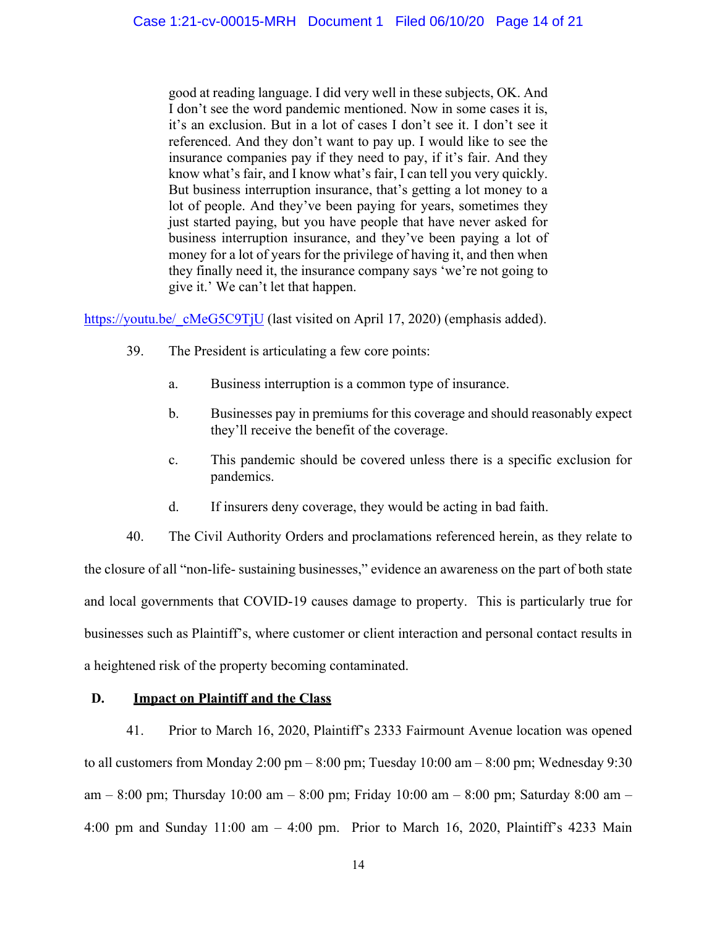good at reading language. I did very well in these subjects, OK. And I don't see the word pandemic mentioned. Now in some cases it is, it's an exclusion. But in a lot of cases I don't see it. I don't see it referenced. And they don't want to pay up. I would like to see the insurance companies pay if they need to pay, if it's fair. And they know what's fair, and I know what's fair, I can tell you very quickly. But business interruption insurance, that's getting a lot money to a lot of people. And they've been paying for years, sometimes they just started paying, but you have people that have never asked for business interruption insurance, and they've been paying a lot of money for a lot of years for the privilege of having it, and then when they finally need it, the insurance company says 'we're not going to give it.' We can't let that happen.

https://youtu.be/ cMeG5C9TjU (last visited on April 17, 2020) (emphasis added).

- 39. The President is articulating a few core points:
	- a. Business interruption is a common type of insurance.
	- b. Businesses pay in premiums for this coverage and should reasonably expect they'll receive the benefit of the coverage.
	- c. This pandemic should be covered unless there is a specific exclusion for pandemics.
	- d. If insurers deny coverage, they would be acting in bad faith.

40. The Civil Authority Orders and proclamations referenced herein, as they relate to the closure of all "non-life- sustaining businesses," evidence an awareness on the part of both state and local governments that COVID-19 causes damage to property. This is particularly true for businesses such as Plaintiff's, where customer or client interaction and personal contact results in a heightened risk of the property becoming contaminated.

### **D. Impact on Plaintiff and the Class**

41. Prior to March 16, 2020, Plaintiff's 2333 Fairmount Avenue location was opened to all customers from Monday 2:00 pm – 8:00 pm; Tuesday  $10:00$  am – 8:00 pm; Wednesday 9:30 am – 8:00 pm; Thursday 10:00 am – 8:00 pm; Friday 10:00 am – 8:00 pm; Saturday 8:00 am – 4:00 pm and Sunday  $11:00$  am  $-4:00$  pm. Prior to March 16, 2020, Plaintiff's 4233 Main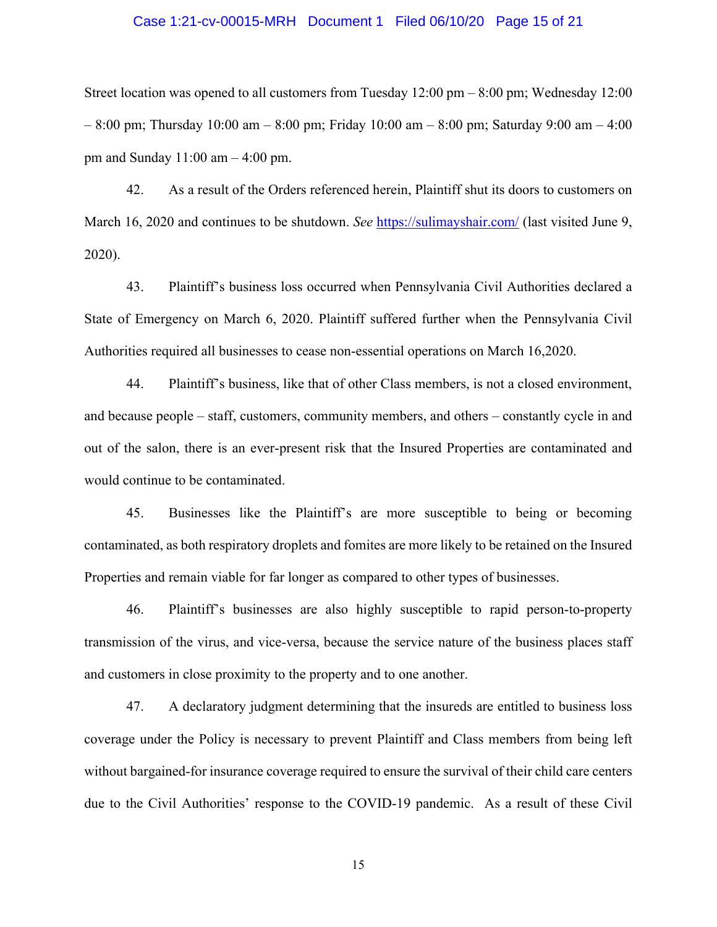#### Case 1:21-cv-00015-MRH Document 1 Filed 06/10/20 Page 15 of 21

Street location was opened to all customers from Tuesday 12:00 pm – 8:00 pm; Wednesday 12:00 – 8:00 pm; Thursday 10:00 am – 8:00 pm; Friday 10:00 am – 8:00 pm; Saturday 9:00 am – 4:00 pm and Sunday  $11:00$  am  $-4:00$  pm.

42. As a result of the Orders referenced herein, Plaintiff shut its doors to customers on March 16, 2020 and continues to be shutdown. *See* <https://sulimayshair.com/> (last visited June 9, 2020).

43. Plaintiff's business loss occurred when Pennsylvania Civil Authorities declared a State of Emergency on March 6, 2020. Plaintiff suffered further when the Pennsylvania Civil Authorities required all businesses to cease non-essential operations on March 16,2020.

44. Plaintiff's business, like that of other Class members, is not a closed environment, and because people – staff, customers, community members, and others – constantly cycle in and out of the salon, there is an ever-present risk that the Insured Properties are contaminated and would continue to be contaminated.

45. Businesses like the Plaintiff's are more susceptible to being or becoming contaminated, as both respiratory droplets and fomites are more likely to be retained on the Insured Properties and remain viable for far longer as compared to other types of businesses.

46. Plaintiff's businesses are also highly susceptible to rapid person-to-property transmission of the virus, and vice-versa, because the service nature of the business places staff and customers in close proximity to the property and to one another.

47. A declaratory judgment determining that the insureds are entitled to business loss coverage under the Policy is necessary to prevent Plaintiff and Class members from being left without bargained-for insurance coverage required to ensure the survival of their child care centers due to the Civil Authorities' response to the COVID-19 pandemic. As a result of these Civil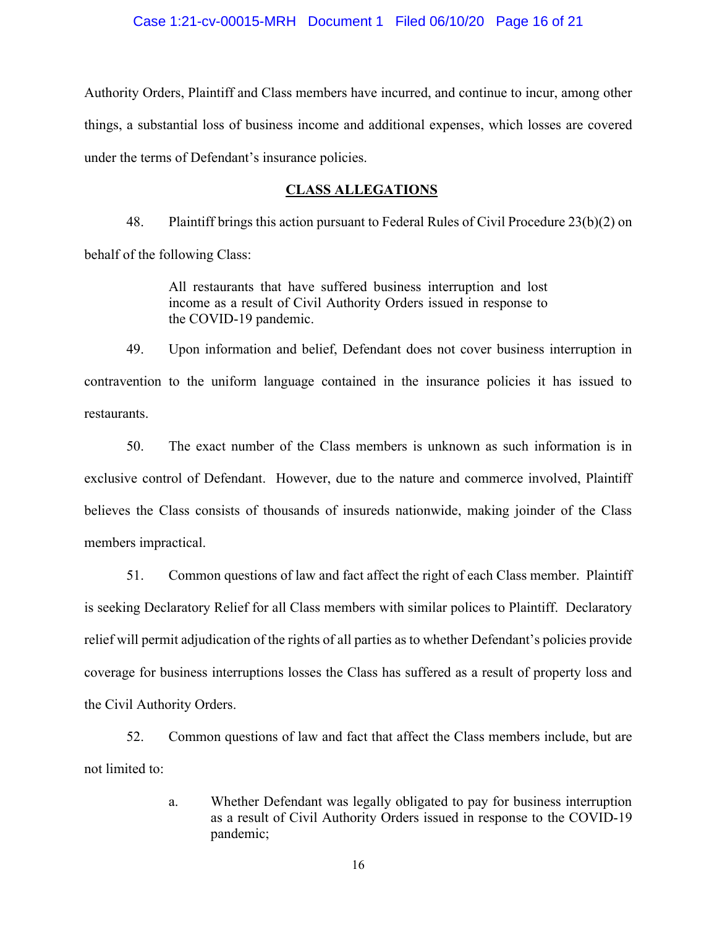#### Case 1:21-cv-00015-MRH Document 1 Filed 06/10/20 Page 16 of 21

Authority Orders, Plaintiff and Class members have incurred, and continue to incur, among other things, a substantial loss of business income and additional expenses, which losses are covered under the terms of Defendant's insurance policies.

#### **CLASS ALLEGATIONS**

48. Plaintiff brings this action pursuant to Federal Rules of Civil Procedure 23(b)(2) on behalf of the following Class:

> All restaurants that have suffered business interruption and lost income as a result of Civil Authority Orders issued in response to the COVID-19 pandemic.

49. Upon information and belief, Defendant does not cover business interruption in contravention to the uniform language contained in the insurance policies it has issued to restaurants.

50. The exact number of the Class members is unknown as such information is in exclusive control of Defendant. However, due to the nature and commerce involved, Plaintiff believes the Class consists of thousands of insureds nationwide, making joinder of the Class members impractical.

51. Common questions of law and fact affect the right of each Class member. Plaintiff is seeking Declaratory Relief for all Class members with similar polices to Plaintiff. Declaratory relief will permit adjudication of the rights of all parties as to whether Defendant's policies provide coverage for business interruptions losses the Class has suffered as a result of property loss and the Civil Authority Orders.

52. Common questions of law and fact that affect the Class members include, but are not limited to:

> a. Whether Defendant was legally obligated to pay for business interruption as a result of Civil Authority Orders issued in response to the COVID-19 pandemic;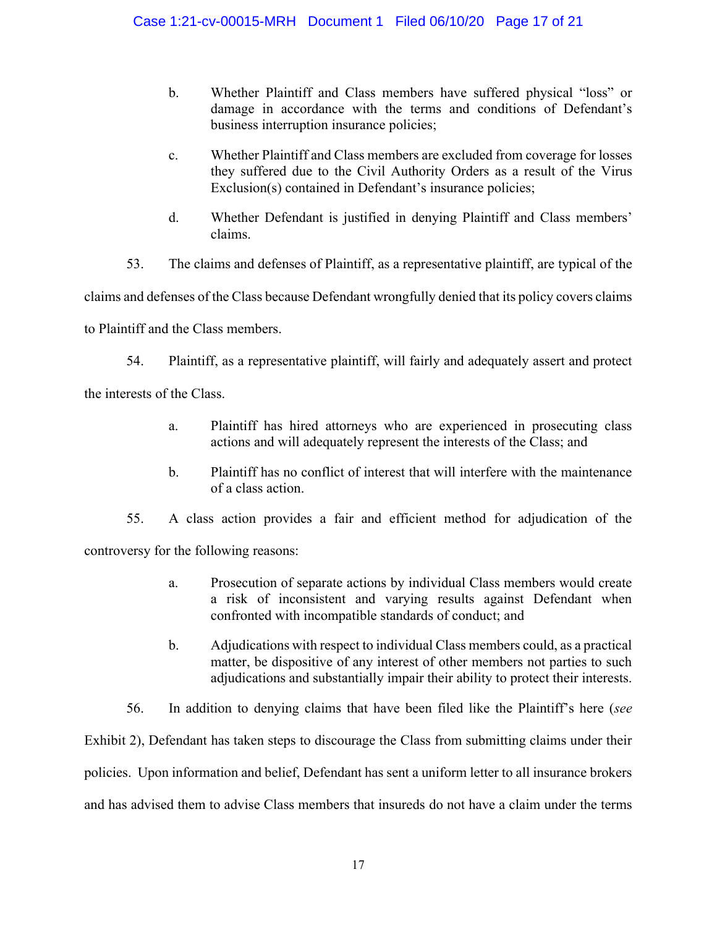- b. Whether Plaintiff and Class members have suffered physical "loss" or damage in accordance with the terms and conditions of Defendant's business interruption insurance policies;
- c. Whether Plaintiff and Class members are excluded from coverage for losses they suffered due to the Civil Authority Orders as a result of the Virus  $Exclusion(s)$  contained in Defendant's insurance policies;
- d. Whether Defendant is justified in denying Plaintiff and Class members' claims.
- 53. The claims and defenses of Plaintiff, as a representative plaintiff, are typical of the

claims and defenses of the Class because Defendant wrongfully denied that its policy covers claims

to Plaintiff and the Class members.

54. Plaintiff, as a representative plaintiff, will fairly and adequately assert and protect

the interests of the Class.

- a. Plaintiff has hired attorneys who are experienced in prosecuting class actions and will adequately represent the interests of the Class; and
- b. Plaintiff has no conflict of interest that will interfere with the maintenance of a class action.

55. A class action provides a fair and efficient method for adjudication of the

controversy for the following reasons:

- a. Prosecution of separate actions by individual Class members would create a risk of inconsistent and varying results against Defendant when confronted with incompatible standards of conduct; and
- b. Adjudications with respect to individual Class members could, as a practical matter, be dispositive of any interest of other members not parties to such adjudications and substantially impair their ability to protect their interests.
- 56. In addition to denying claims that have been filed like the Plaintiff's here (see

Exhibit 2), Defendant has taken steps to discourage the Class from submitting claims under their policies. Upon information and belief, Defendant has sent a uniform letter to all insurance brokers and has advised them to advise Class members that insureds do not have a claim under the terms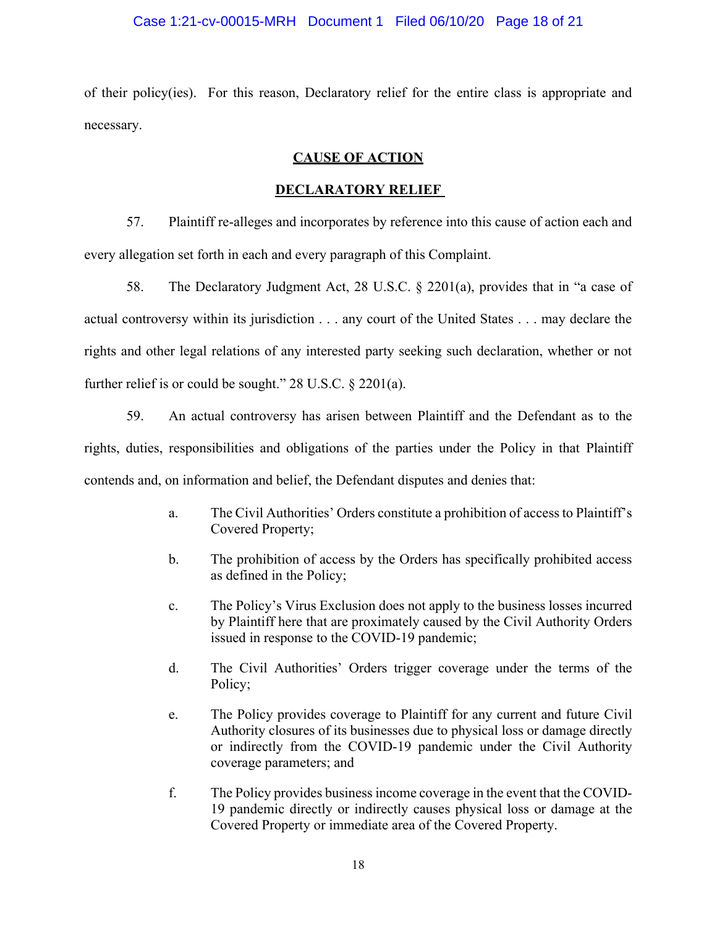#### Case 1:21-cv-00015-MRH Document 1 Filed 06/10/20 Page 18 of 21

of their policy(ies). For this reason, Declaratory relief for the entire class is appropriate and necessary.

## **CAUSE OF ACTION**

### **DECLARATORY RELIEF**

57. Plaintiff re-alleges and incorporates by reference into this cause of action each and every allegation set forth in each and every paragraph of this Complaint.

58. The Declaratory Judgment Act, 28 U.S.C. § 2201(a), provides that in "a case of actual controversy within its jurisdiction . . . any court of the United States . . . may declare the rights and other legal relations of any interested party seeking such declaration, whether or not further relief is or could be sought." 28 U.S.C. § 2201(a).

59. An actual controversy has arisen between Plaintiff and the Defendant as to the rights, duties, responsibilities and obligations of the parties under the Policy in that Plaintiff contends and, on information and belief, the Defendant disputes and denies that:

- a. The Civil Authorities' Orders constitute a prohibition of access to Plaintiff's Covered Property;
- b. The prohibition of access by the Orders has specifically prohibited access as defined in the Policy;
- c. The Policy's Virus Exclusion does not apply to the business losses incurred by Plaintiff here that are proximately caused by the Civil Authority Orders issued in response to the COVID-19 pandemic;
- d. The Civil Authorities' Orders trigger coverage under the terms of the Policy;
- e. The Policy provides coverage to Plaintiff for any current and future Civil Authority closures of its businesses due to physical loss or damage directly or indirectly from the COVID-19 pandemic under the Civil Authority coverage parameters; and
- f. The Policy provides business income coverage in the event that the COVID-19 pandemic directly or indirectly causes physical loss or damage at the Covered Property or immediate area of the Covered Property.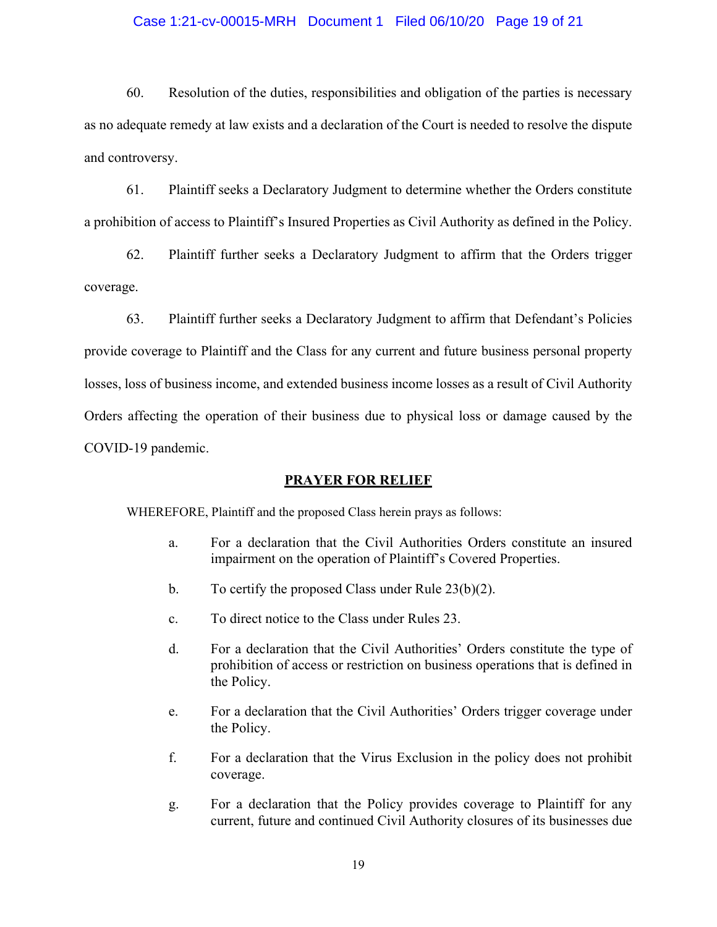#### Case 1:21-cv-00015-MRH Document 1 Filed 06/10/20 Page 19 of 21

60. Resolution of the duties, responsibilities and obligation of the parties is necessary as no adequate remedy at law exists and a declaration of the Court is needed to resolve the dispute and controversy.

61. Plaintiff seeks a Declaratory Judgment to determine whether the Orders constitute a prohibition of access to Plaintiff's Insured Properties as Civil Authority as defined in the Policy.

62. Plaintiff further seeks a Declaratory Judgment to affirm that the Orders trigger coverage.

63. Plaintiff further seeks a Declaratory Judgment to affirm that Defendant's Policies provide coverage to Plaintiff and the Class for any current and future business personal property losses, loss of business income, and extended business income losses as a result of Civil Authority Orders affecting the operation of their business due to physical loss or damage caused by the COVID-19 pandemic.

#### **PRAYER FOR RELIEF**

WHEREFORE, Plaintiff and the proposed Class herein prays as follows:

- a. For a declaration that the Civil Authorities Orders constitute an insured impairment on the operation of Plaintiff's Covered Properties.
- b. To certify the proposed Class under Rule 23(b)(2).
- c. To direct notice to the Class under Rules 23.
- d. For a declaration that the Civil Authorities' Orders constitute the type of prohibition of access or restriction on business operations that is defined in the Policy.
- e. For a declaration that the Civil Authorities' Orders trigger coverage under the Policy.
- f. For a declaration that the Virus Exclusion in the policy does not prohibit coverage.
- g. For a declaration that the Policy provides coverage to Plaintiff for any current, future and continued Civil Authority closures of its businesses due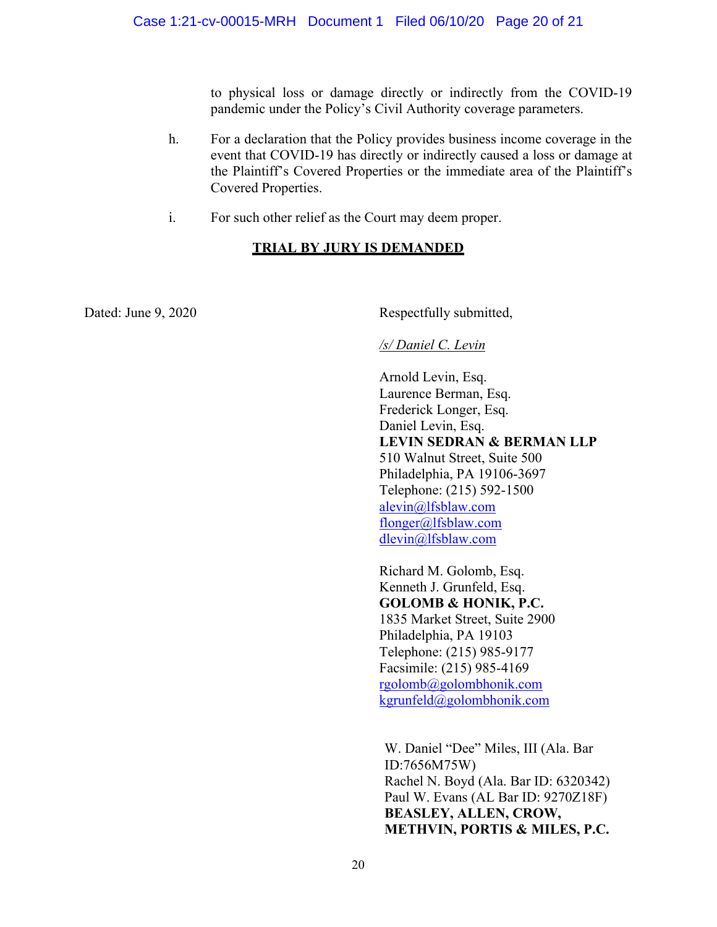to physical loss or damage directly or indirectly from the COVID-19 pandemic under the Policy's Civil Authority coverage parameters.

- h. For a declaration that the Policy provides business income coverage in the event that COVID-19 has directly or indirectly caused a loss or damage at the Plaintiff's Covered Properties or the immediate area of the Plaintiff's Covered Properties.
- i. For such other relief as the Court may deem proper.

## **TRIAL BY JURY IS DEMANDED**

Dated: June 9, 2020 Respectfully submitted,

## */s/ Daniel C. Levin*

Arnold Levin, Esq. Laurence Berman, Esq. Frederick Longer, Esq. Daniel Levin, Esq. **LEVIN SEDRAN & BERMAN LLP** 510 Walnut Street, Suite 500 Philadelphia, PA 19106-3697 Telephone: (215) 592-1500 [alevin@lfsblaw.com](mailto:alevin@lfsblaw.com) [flonger@lfsblaw.com](mailto:flonger@lfsblaw.com) [dlevin@lfsblaw.com](mailto:dlevin@lfsblaw.com)

Richard M. Golomb, Esq. Kenneth J. Grunfeld, Esq. **GOLOMB & HONIK, P.C.** 1835 Market Street, Suite 2900 Philadelphia, PA 19103 Telephone: (215) 985-9177 Facsimile: (215) 985-4169 [rgolomb@golombhonik.com](mailto:rgolomb@golombhonik.com) [kgrunfeld@golombhonik.com](mailto:kgrunfeld@golombhonik.com)

W. Daniel "Dee" Miles, III (Ala. Bar ID:7656M75W) Rachel N. Boyd (Ala. Bar ID: 6320342) Paul W. Evans (AL Bar ID: 9270Z18F) **BEASLEY, ALLEN, CROW, METHVIN, PORTIS & MILES, P.C.**